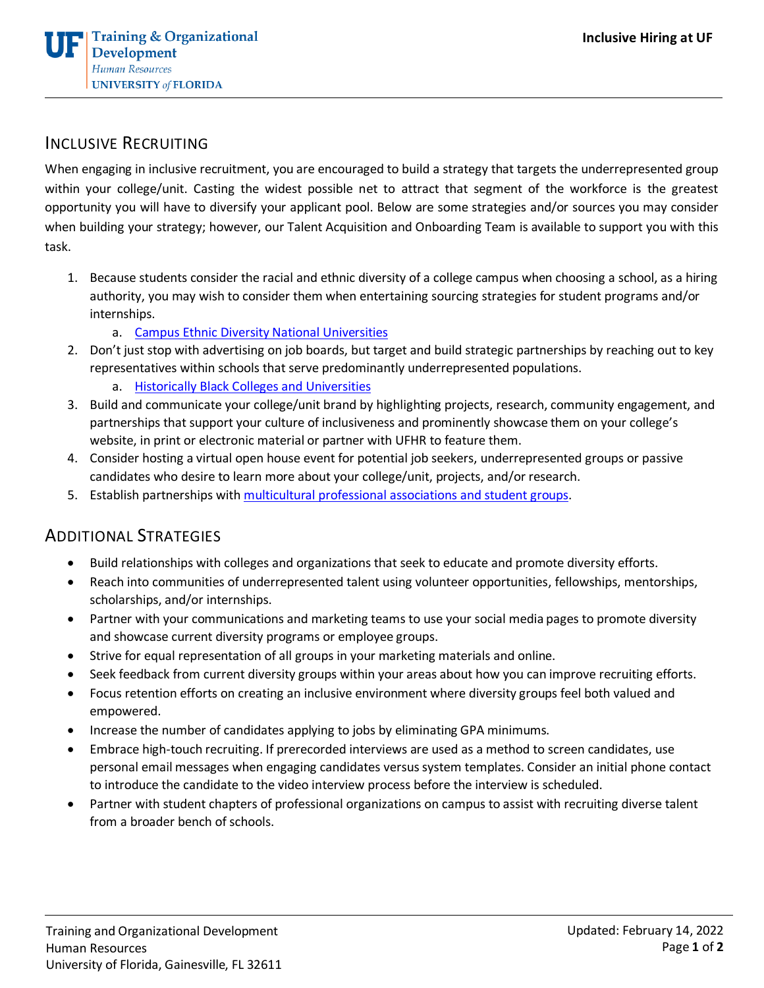

## INCLUSIVE RECRUITING

When engaging in inclusive recruitment, you are encouraged to build a strategy that targets the underrepresented group within your college/unit. Casting the widest possible net to attract that segment of the workforce is the greatest opportunity you will have to diversify your applicant pool. Below are some strategies and/or sources you may consider when building your strategy; however, our Talent Acquisition and Onboarding Team is available to support you with this task.

- 1. Because students consider the racial and ethnic diversity of a college campus when choosing a school, as a hiring authority, you may wish to consider them when entertaining sourcing strategies for student programs and/or internships.
	- a. [Campus Ethnic Diversity National Universities](https://www.usnews.com/best-colleges/rankings/national-universities/campus-ethnic-diversity)
- 2. Don't just stop with advertising on job boards, but target and build strategic partnerships by reaching out to key representatives within schools that serve predominantly underrepresented populations.
	- a. [Historically Black Colleges and Universities](https://www.usnews.com/best-colleges/rankings/hbcu)
- 3. Build and communicate your college/unit brand by highlighting projects, research, community engagement, and partnerships that support your culture of inclusiveness and prominently showcase them on your college's website, in print or electronic material or partner with UFHR to feature them.
- 4. Consider hosting a virtual open house event for potential job seekers, underrepresented groups or passive candidates who desire to learn more about your college/unit, projects, and/or research.
- 5. Establish partnerships wit[h multicultural professional associations and student groups.](https://documentcloud.adobe.com/link/review?uri=urn%3Aaaid%3Ascds%3AUS%3Aeb4cf31f-53aa-49a9-b0ee-6bf683c423eb#pageNum=1)

## ADDITIONAL STRATEGIES

- Build relationships with colleges and organizations that seek to educate and promote diversity efforts.
- Reach into communities of underrepresented talent using volunteer opportunities, fellowships, mentorships, scholarships, and/or internships.
- Partner with your communications and marketing teams to use your social media pages to promote diversity and showcase current diversity programs or employee groups.
- Strive for equal representation of all groups in your marketing materials and online.
- Seek feedback from current diversity groups within your areas about how you can improve recruiting efforts.
- Focus retention efforts on creating an inclusive environment where diversity groups feel both valued and empowered.
- Increase the number of candidates applying to jobs by eliminating GPA minimums.
- Embrace high-touch recruiting. If prerecorded interviews are used as a method to screen candidates, use personal email messages when engaging candidates versus system templates. Consider an initial phone contact to introduce the candidate to the video interview process before the interview is scheduled.
- Partner with student chapters of professional organizations on campus to assist with recruiting diverse talent from a broader bench of schools.